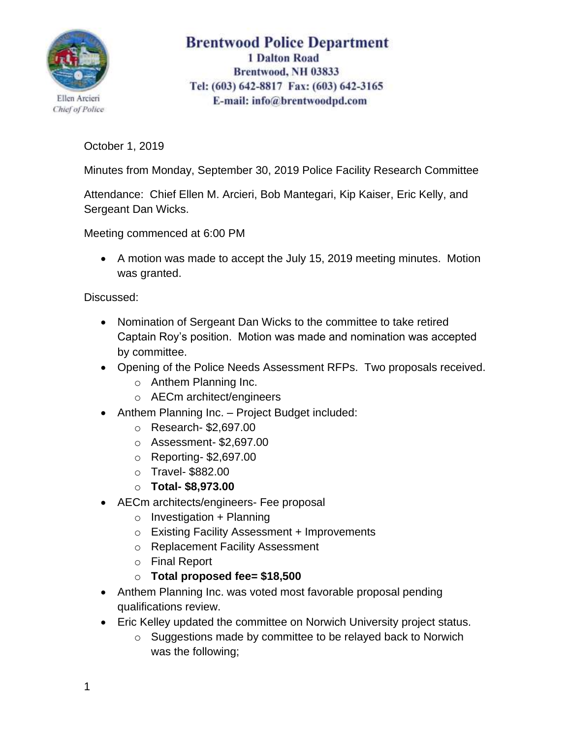

## **Brentwood Police Department 1 Dalton Road** Brentwood, NH 03833 Tel: (603) 642-8817 Fax: (603) 642-3165 E-mail: info@brentwoodpd.com

October 1, 2019

Minutes from Monday, September 30, 2019 Police Facility Research Committee

Attendance: Chief Ellen M. Arcieri, Bob Mantegari, Kip Kaiser, Eric Kelly, and Sergeant Dan Wicks.

Meeting commenced at 6:00 PM

• A motion was made to accept the July 15, 2019 meeting minutes. Motion was granted.

Discussed:

- Nomination of Sergeant Dan Wicks to the committee to take retired Captain Roy's position. Motion was made and nomination was accepted by committee.
- Opening of the Police Needs Assessment RFPs. Two proposals received.
	- o Anthem Planning Inc.
	- o AECm architect/engineers
- Anthem Planning Inc. Project Budget included:
	- o Research- \$2,697.00
	- o Assessment- \$2,697.00
	- o Reporting- \$2,697.00
	- o Travel- \$882.00
	- o **Total- \$8,973.00**
- AECm architects/engineers- Fee proposal
	- $\circ$  Investigation + Planning
	- o Existing Facility Assessment + Improvements
	- o Replacement Facility Assessment
	- o Final Report
	- o **Total proposed fee= \$18,500**
- Anthem Planning Inc. was voted most favorable proposal pending qualifications review.
- Eric Kelley updated the committee on Norwich University project status.
	- o Suggestions made by committee to be relayed back to Norwich was the following;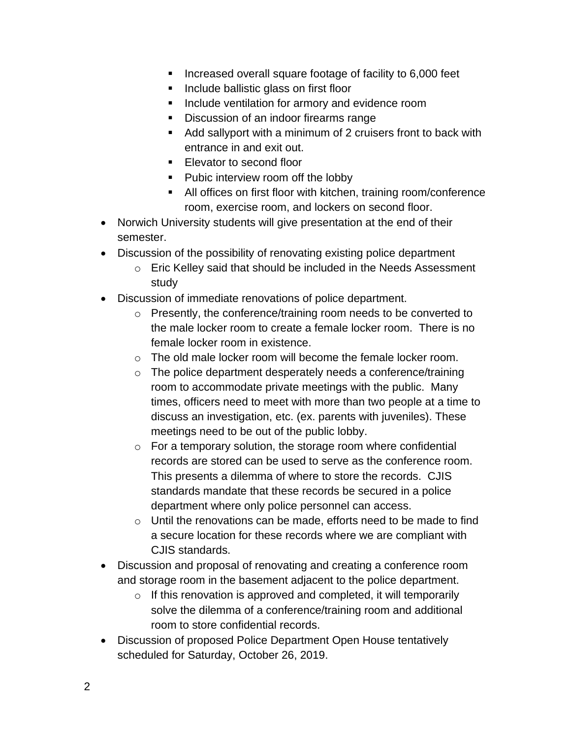- Increased overall square footage of facility to 6,000 feet
- Include ballistic glass on first floor
- Include ventilation for armory and evidence room
- Discussion of an indoor firearms range
- Add sallyport with a minimum of 2 cruisers front to back with entrance in and exit out.
- Elevator to second floor
- Pubic interview room off the lobby
- All offices on first floor with kitchen, training room/conference room, exercise room, and lockers on second floor.
- Norwich University students will give presentation at the end of their semester.
- Discussion of the possibility of renovating existing police department
	- o Eric Kelley said that should be included in the Needs Assessment study
- Discussion of immediate renovations of police department.
	- o Presently, the conference/training room needs to be converted to the male locker room to create a female locker room. There is no female locker room in existence.
	- $\circ$  The old male locker room will become the female locker room.
	- o The police department desperately needs a conference/training room to accommodate private meetings with the public. Many times, officers need to meet with more than two people at a time to discuss an investigation, etc. (ex. parents with juveniles). These meetings need to be out of the public lobby.
	- o For a temporary solution, the storage room where confidential records are stored can be used to serve as the conference room. This presents a dilemma of where to store the records. CJIS standards mandate that these records be secured in a police department where only police personnel can access.
	- o Until the renovations can be made, efforts need to be made to find a secure location for these records where we are compliant with CJIS standards.
- Discussion and proposal of renovating and creating a conference room and storage room in the basement adjacent to the police department.
	- $\circ$  If this renovation is approved and completed, it will temporarily solve the dilemma of a conference/training room and additional room to store confidential records.
- Discussion of proposed Police Department Open House tentatively scheduled for Saturday, October 26, 2019.